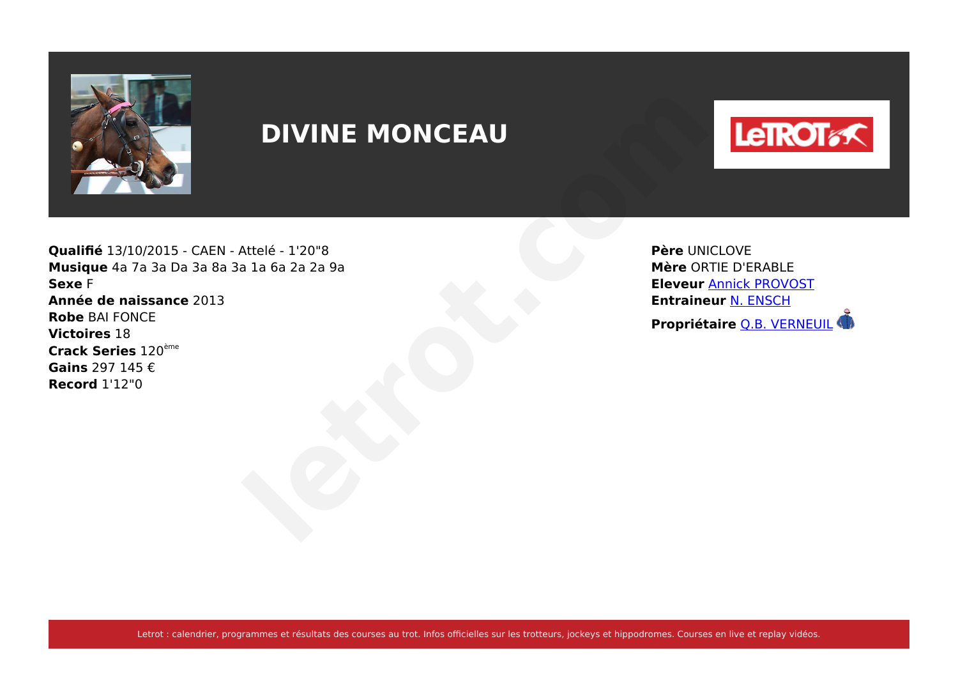

# **DIVINE MONCEAU**



**Qualifié** 13/10/2015 - CAEN - Attelé - 1'20"8 **Musique** 4a 7a 3a Da 3a 8a 3a 1a 6a 2a 2a 9a **Sexe** F **Année de naissance** 2013 **Robe** BAI FONCE **Victoires** 18 **Crack Series** 120ème **Gains** 297 145 € **Record** 1'12"0

**Père** UNICLOVE **Mère** ORTIE D'ERABLE **Eleveur** [Annick PROVOST](https://www.letrot.com/stats/fiche-homme/annick-provost/Y2p8YQUIeA/eleveur/dernieres-courses) **Entraineur** [N. ENSCH](https://www.letrot.com/stats/fiche-homme/n-ensch/Z2B4YAcFZA/entraineur/dernieres-courses) **Propriétaire** 120°S<br>
Attelé - 120°S<br> **Propriétaire DERABLE**<br> **Propriétaire DERABLE**<br> **Propriétaire D.B. VERNEUIL**<br>
Propriétaire <u>O.B. VERNEUIL</u><br>
Propriétaire <u>O.B. VERNEUIL</u>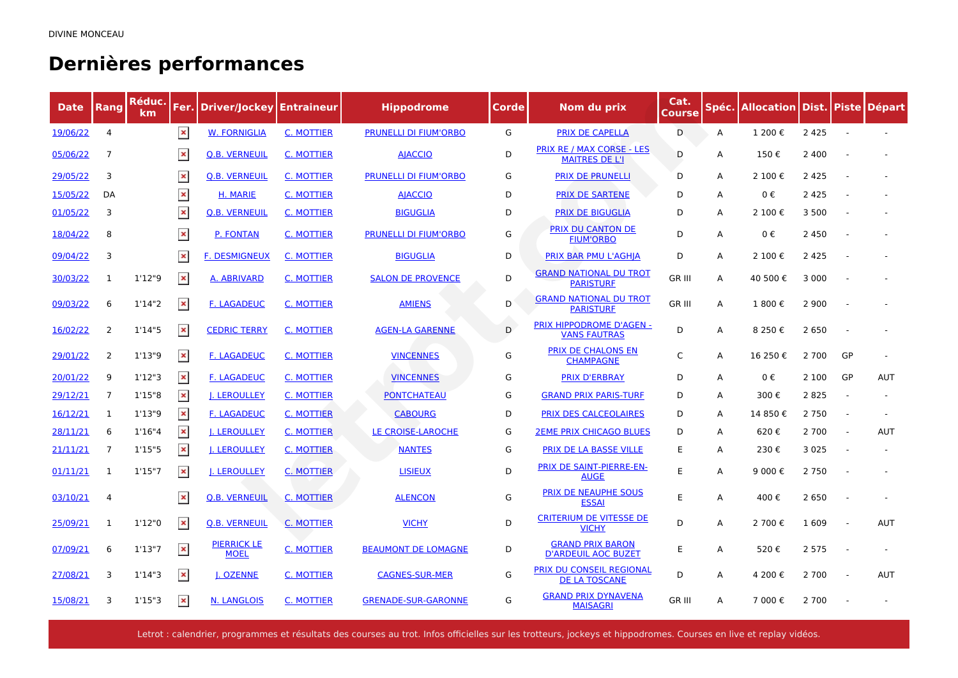## **Dernières performances**

| <b>Date</b> | Rang           | Réduc.<br>km | Fer.           | Driver/Jockey                     | <b>Entraineur</b> | <b>Hippodrome</b>            | Corde | Nom du prix                                               | Cat.<br><b>Course</b> | Spéc. | <b>Allocation Dist. Piste Départ</b> |         |                          |            |
|-------------|----------------|--------------|----------------|-----------------------------------|-------------------|------------------------------|-------|-----------------------------------------------------------|-----------------------|-------|--------------------------------------|---------|--------------------------|------------|
| 19/06/22    | $\overline{4}$ |              | $\pmb{\times}$ | <b>W. FORNIGLIA</b>               | C. MOTTIER        | <b>PRUNELLI DI FIUM'ORBO</b> | G     | <b>PRIX DE CAPELLA</b>                                    | D                     | Α     | 1 200€                               | 2 4 2 5 |                          |            |
| 05/06/22    | 7              |              | $\pmb{\times}$ | <b>Q.B. VERNEUIL</b>              | C. MOTTIER        | <b>AJACCIO</b>               | D     | <b>PRIX RE / MAX CORSE - LES</b><br><b>MAITRES DE L'I</b> | D                     | A     | 150€                                 | 2 4 0 0 |                          |            |
| 29/05/22    | 3              |              | $\pmb{\times}$ | <b>Q.B. VERNEUIL</b>              | <b>C. MOTTIER</b> | <b>PRUNELLI DI FIUM'ORBO</b> | G     | <b>PRIX DE PRUNELLI</b>                                   | D                     | A     | 2 100€                               | 2 4 2 5 |                          |            |
| 15/05/22    | DA             |              | $\pmb{\times}$ | H. MARIE                          | C. MOTTIER        | <b>AIACCIO</b>               | D     | <b>PRIX DE SARTENE</b>                                    | D                     | A     | 0€                                   | 2 4 2 5 |                          |            |
| 01/05/22    | 3              |              | $\pmb{\times}$ | <b>Q.B. VERNEUIL</b>              | <b>C. MOTTIER</b> | <b>BIGUGLIA</b>              | D     | <b>PRIX DE BIGUGLIA</b>                                   | D                     | A     | 2 100€                               | 3 5 0 0 |                          |            |
| 18/04/22    | 8              |              | $\pmb{\times}$ | P. FONTAN                         | C. MOTTIER        | <b>PRUNELLI DI FIUM'ORBO</b> | G     | <b>PRIX DU CANTON DE</b><br><b>FIUM'ORBO</b>              | D                     | A     | 0€                                   | 2 4 5 0 |                          |            |
| 09/04/22    | 3              |              | $\pmb{\times}$ | <b>F. DESMIGNEUX</b>              | C. MOTTIER        | <b>BIGUGLIA</b>              | D     | PRIX BAR PMU L'AGHIA                                      | D                     | A     | 2 100€                               | 2 4 2 5 |                          |            |
| 30/03/22    | 1              | 1'12''9      | $\pmb{\times}$ | A. ABRIVARD                       | C. MOTTIER        | <b>SALON DE PROVENCE</b>     | D     | <b>GRAND NATIONAL DU TROT</b><br><b>PARISTURF</b>         | <b>GR III</b>         | A     | 40 500 €                             | 3 0 0 0 |                          |            |
| 09/03/22    | 6              | 1'14''2      | $\pmb{\times}$ | <b>F. LAGADEUC</b>                | <b>C. MOTTIER</b> | <b>AMIENS</b>                | D     | <b>GRAND NATIONAL DU TROT</b><br><b>PARISTURF</b>         | <b>GR III</b>         | A     | 1 800€                               | 2 9 0 0 |                          |            |
| 16/02/22    | 2              | 1'14''5      | $\pmb{\times}$ | <b>CEDRIC TERRY</b>               | <b>C. MOTTIER</b> | <b>AGEN-LA GARENNE</b>       | D     | PRIX HIPPODROME D'AGEN -<br><b>VANS FAUTRAS</b>           | D                     | Α     | 8 250€                               | 2 6 5 0 |                          |            |
| 29/01/22    | 2              | 1'13''9      | $\pmb{\times}$ | <b>F. LAGADEUC</b>                | <b>C. MOTTIER</b> | <b>VINCENNES</b>             | G     | PRIX DE CHALONS EN<br><b>CHAMPAGNE</b>                    | $\mathsf{C}$          | A     | 16 250€                              | 2 700   | GP                       |            |
| 20/01/22    | 9              | 1'12''3      | $\pmb{\times}$ | <b>F. LAGADEUC</b>                | C. MOTTIER        | <b>VINCENNES</b>             | G     | <b>PRIX D'ERBRAY</b>                                      | D                     | A     | $0 \in$                              | 2 100   | GP                       | <b>AUT</b> |
| 29/12/21    | $\overline{7}$ | 1'15''8      | $\pmb{\times}$ | <b>J. LEROULLEY</b>               | C. MOTTIER        | <b>PONTCHATEAU</b>           | G     | <b>GRAND PRIX PARIS-TURF</b>                              | D                     | A     | 300€                                 | 2825    |                          |            |
| 16/12/21    | 1              | 1'13''9      | $\pmb{\times}$ | <b>F. LAGADEUC</b>                | C. MOTTIER        | <b>CABOURG</b>               | D     | PRIX DES CALCEOLAIRES                                     | D                     | A     | 14 850€                              | 2 7 5 0 | $\sim$                   |            |
| 28/11/21    | 6              | 1'16''4      | $\pmb{\times}$ | <b>I. LEROULLEY</b>               | <b>C. MOTTIER</b> | LE CROISE-LAROCHE            | G     | <b>2EME PRIX CHICAGO BLUES</b>                            | D                     | A     | 620€                                 | 2 700   | $\sim$                   | <b>AUT</b> |
| 21/11/21    | $\overline{7}$ | 1'15"5       | $\pmb{\times}$ | <b>J. LEROULLEY</b>               | <b>C. MOTTIER</b> | <b>NANTES</b>                | G     | <b>PRIX DE LA BASSE VILLE</b>                             | E                     | A     | 230€                                 | 3 0 2 5 |                          |            |
| 01/11/21    | $\mathbf{1}$   | 1'15''7      | $\pmb{\times}$ | <b>J. LEROULLEY</b>               | <b>C. MOTTIER</b> | <b>LISIEUX</b>               | D     | <b>PRIX DE SAINT-PIERRE-EN-</b><br><b>AUGE</b>            | E                     | A     | 9 000€                               | 2 7 5 0 |                          |            |
| 03/10/21    | $\overline{4}$ |              | $\pmb{\times}$ | <b>Q.B. VERNEUIL</b>              | <b>C. MOTTIER</b> | <b>ALENCON</b>               | G     | PRIX DE NEAUPHE SOUS<br><b>ESSAI</b>                      | E                     | A     | 400€                                 | 2 6 5 0 | $\sim$                   |            |
| 25/09/21    | 1              | 1'12"0       | $\pmb{\times}$ | <b>Q.B. VERNEUIL</b>              | C. MOTTIER        | <b>VICHY</b>                 | D     | <b>CRITERIUM DE VITESSE DE</b><br><b>VICHY</b>            | D                     | A     | 2 700€                               | 1 609   | $\overline{\phantom{a}}$ | <b>AUT</b> |
| 07/09/21    | 6              | 1'13''7      | $\pmb{\times}$ | <b>PIERRICK LE</b><br><b>MOEL</b> | <b>C. MOTTIER</b> | <b>BEAUMONT DE LOMAGNE</b>   | D     | <b>GRAND PRIX BARON</b><br><b>D'ARDEUIL AOC BUZET</b>     | E                     | A     | 520€                                 | 2 5 7 5 |                          |            |
| 27/08/21    | 3              | 1'14''3      | $\pmb{\times}$ | I. OZENNE                         | <b>C. MOTTIER</b> | <b>CAGNES-SUR-MER</b>        | G     | <b>PRIX DU CONSEIL REGIONAL</b><br><b>DE LA TOSCANE</b>   | D                     | A     | 4 200€                               | 2 700   | $\sim$                   | <b>AUT</b> |
| 15/08/21    | 3              | 1'15''3      | $\pmb{\times}$ | <b>N. LANGLOIS</b>                | C. MOTTIER        | <b>GRENADE-SUR-GARONNE</b>   | G     | <b>GRAND PRIX DYNAVENA</b><br><b>MAISAGRI</b>             | <b>GR III</b>         | A     | 7 000 €                              | 2 700   |                          |            |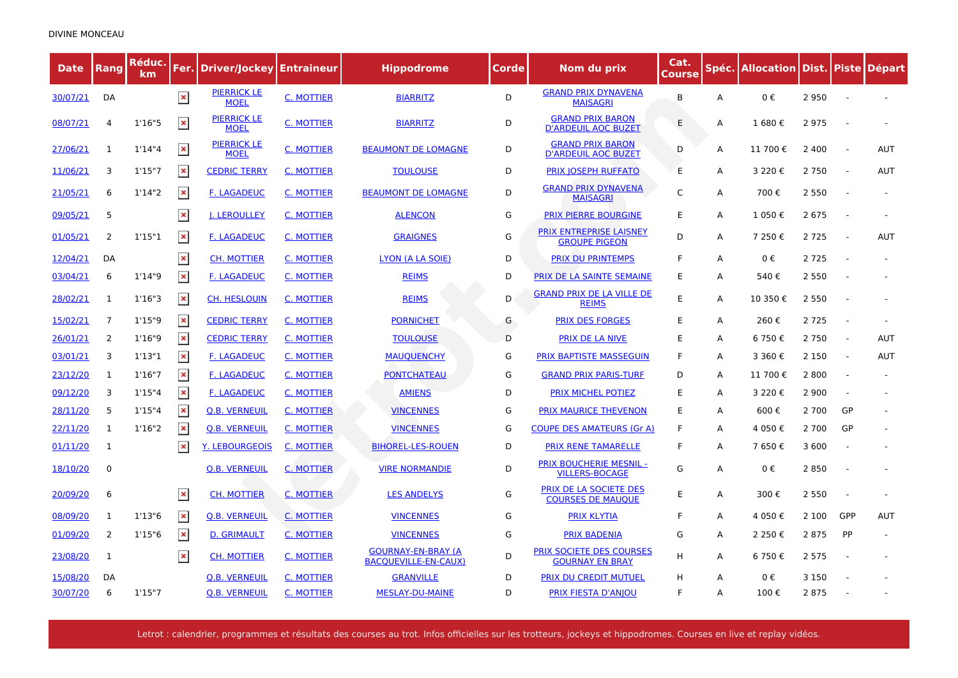| <b>Date</b> | Rang         | Réduc.<br>km | Fer.           | Driver/Jockey                     | <b>Entraineur</b> | <b>Hippodrome</b>                                        | Corde | Nom du prix                                             | Cat.<br>Course | Spéc. | Allocation Dist. Piste Départ |         |                          |            |
|-------------|--------------|--------------|----------------|-----------------------------------|-------------------|----------------------------------------------------------|-------|---------------------------------------------------------|----------------|-------|-------------------------------|---------|--------------------------|------------|
| 30/07/21    | DA           |              | $\pmb{\times}$ | <b>PIERRICK LE</b><br><b>MOEL</b> | <b>C. MOTTIER</b> | <b>BIARRITZ</b>                                          | D     | <b>GRAND PRIX DYNAVENA</b><br><b>MAISAGRI</b>           | B              | A     | 0€                            | 2950    |                          |            |
| 08/07/21    | 4            | 1'16''5      | $\pmb{\times}$ | <b>PIERRICK LE</b><br><b>MOEL</b> | C. MOTTIER        | <b>BIARRITZ</b>                                          | D     | <b>GRAND PRIX BARON</b><br><b>D'ARDEUIL AOC BUZET</b>   | E              | А     | 1680€                         | 2975    |                          |            |
| 27/06/21    | $\mathbf{1}$ | 1'14''4      | $\pmb{\times}$ | <b>PIERRICK LE</b><br><b>MOEL</b> | <b>C. MOTTIER</b> | <b>BEAUMONT DE LOMAGNE</b>                               | D     | <b>GRAND PRIX BARON</b><br><b>D'ARDEUIL AOC BUZET</b>   | D              | А     | 11 700€                       | 2 4 0 0 | $\sim$                   | <b>AUT</b> |
| 11/06/21    | 3            | 1'15''7      | $\pmb{\times}$ | <b>CEDRIC TERRY</b>               | <b>C. MOTTIER</b> | <b>TOULOUSE</b>                                          | D     | <b>PRIX JOSEPH RUFFATO</b>                              | E              | А     | 3 2 2 0 €                     | 2 7 5 0 |                          | <b>AUT</b> |
| 21/05/21    | 6            | 1'14''2      | $\pmb{\times}$ | <b>F. LAGADEUC</b>                | C. MOTTIER        | <b>BEAUMONT DE LOMAGNE</b>                               | D     | <b>GRAND PRIX DYNAVENA</b><br><b>MAISAGRI</b>           | $\mathsf{C}$   | A     | 700€                          | 2 5 5 0 |                          |            |
| 09/05/21    | 5            |              | $\pmb{\times}$ | <b>J. LEROULLEY</b>               | <b>C. MOTTIER</b> | <b>ALENCON</b>                                           | G     | <b>PRIX PIERRE BOURGINE</b>                             | E              | А     | 1 050€                        | 2 6 7 5 |                          |            |
| 01/05/21    | 2            | 1'15"1       | $\pmb{\times}$ | <b>F. LAGADEUC</b>                | C. MOTTIER        | <b>GRAIGNES</b>                                          | G     | <b>PRIX ENTREPRISE LAISNEY</b><br><b>GROUPE PIGEON</b>  | D              | A     | 7 250€                        | 2 7 2 5 |                          | <b>AUT</b> |
| 12/04/21    | DA           |              | $\pmb{\times}$ | <b>CH. MOTTIER</b>                | C. MOTTIER        | LYON (A LA SOIE)                                         | D     | <b>PRIX DU PRINTEMPS</b>                                | F              | А     | $0 \in$                       | 2 7 2 5 |                          |            |
| 03/04/21    | 6            | 1'14"9       | $\pmb{\times}$ | <b>F. LAGADEUC</b>                | C. MOTTIER        | <b>REIMS</b>                                             | D     | PRIX DE LA SAINTE SEMAINE                               | E              | А     | 540€                          | 2 5 5 0 |                          |            |
| 28/02/21    | 1            | 1'16''3      | $\pmb{\times}$ | <b>CH. HESLOUIN</b>               | C. MOTTIER        | <b>REIMS</b>                                             | D     | <b>GRAND PRIX DE LA VILLE DE</b><br><b>REIMS</b>        | E              | A     | 10 350€                       | 2 5 5 0 |                          |            |
| 15/02/21    | 7            | 1'15''9      | $\pmb{\times}$ | <b>CEDRIC TERRY</b>               | C. MOTTIER        | <b>PORNICHET</b>                                         | G     | <b>PRIX DES FORGES</b>                                  | E              | А     | 260€                          | 2 7 2 5 | $\sim$                   |            |
| 26/01/21    | 2            | 1'16''9      | $\pmb{\times}$ | <b>CEDRIC TERRY</b>               | C. MOTTIER        | <b>TOULOUSE</b>                                          | D     | <b>PRIX DE LA NIVE</b>                                  | E              | A     | 6 750€                        | 2 7 5 0 | $\sim$                   | <b>AUT</b> |
| 03/01/21    | 3            | 1'13''1      | $\pmb{\times}$ | <b>F. LAGADEUC</b>                | C. MOTTIER        | <b>MAUOUENCHY</b>                                        | G     | <b>PRIX BAPTISTE MASSEGUIN</b>                          | F              | A     | 3 360 €                       | 2 1 5 0 | $\overline{\phantom{a}}$ | <b>AUT</b> |
| 23/12/20    | 1            | 1'16''7      | $\pmb{\times}$ | <b>F. LAGADEUC</b>                | C. MOTTIER        | <b>PONTCHATEAU</b>                                       | G     | <b>GRAND PRIX PARIS-TURF</b>                            | D              | A     | 11 700€                       | 2 8 0 0 | $\overline{a}$           |            |
| 09/12/20    | 3            | 1'15''4      | $\pmb{\times}$ | <b>F. LAGADEUC</b>                | C. MOTTIER        | <b>AMIENS</b>                                            | D     | PRIX MICHEL POTIEZ                                      | E              | А     | 3 2 2 0 €                     | 2 9 0 0 |                          |            |
| 28/11/20    | 5            | 1'15''4      | $\pmb{\times}$ | <b>Q.B. VERNEUIL</b>              | C. MOTTIER        | <b>VINCENNES</b>                                         | G     | <b>PRIX MAURICE THEVENON</b>                            | E              | A     | 600€                          | 2 700   | GP                       |            |
| 22/11/20    | 1            | 1'16''2      | $\pmb{\times}$ | <b>Q.B. VERNEUIL</b>              | <b>C. MOTTIER</b> | <b>VINCENNES</b>                                         | G     | <b>COUPE DES AMATEURS (Gr A)</b>                        | F              | A     | 4 050€                        | 2 700   | GP                       |            |
| 01/11/20    | $\mathbf{1}$ |              | $\pmb{\times}$ | <u>Y. LEBOURGEOIS</u>             | <b>C. MOTTIER</b> | <b>BIHOREL-LES-ROUEN</b>                                 | D     | <b>PRIX RENE TAMARELLE</b>                              | F              | A     | 7 650€                        | 3 600   |                          |            |
| 18/10/20    | $\mathbf 0$  |              |                | <b>Q.B. VERNEUIL</b>              | C. MOTTIER        | <b>VIRE NORMANDIE</b>                                    | D     | <b>PRIX BOUCHERIE MESNIL -</b><br><b>VILLERS-BOCAGE</b> | G              | A     | 0€                            | 2850    |                          |            |
| 20/09/20    | 6            |              | $\pmb{\times}$ | <b>CH. MOTTIER</b>                | C. MOTTIER        | <b>LES ANDELYS</b>                                       | G     | PRIX DE LA SOCIETE DES<br><b>COURSES DE MAUQUE</b>      | E              | A     | 300€                          | 2 5 5 0 |                          |            |
| 08/09/20    | 1            | 1'13''6      | $\pmb{\times}$ | <b>Q.B. VERNEUIL</b>              | <b>C. MOTTIER</b> | <b>VINCENNES</b>                                         | G     | <b>PRIX KLYTIA</b>                                      | F              | А     | 4 050€                        | 2 100   | GPP                      | AUT        |
| 01/09/20    | 2            | 1'15''6      | $\pmb{\times}$ | <b>D. GRIMAULT</b>                | <b>C. MOTTIER</b> | <b>VINCENNES</b>                                         | G     | <b>PRIX BADENIA</b>                                     | G              | A     | 2 2 5 0 €                     | 2875    | PP                       |            |
| 23/08/20    | $\mathbf{1}$ |              | $\pmb{\times}$ | <b>CH. MOTTIER</b>                | <b>C. MOTTIER</b> | <b>GOURNAY-EN-BRAY (A</b><br><b>BACQUEVILLE-EN-CAUX)</b> | D     | PRIX SOCIETE DES COURSES<br><b>GOURNAY EN BRAY</b>      | н              | A     | 6 750€                        | 2 5 7 5 |                          |            |
| 15/08/20    | DA           |              |                | <b>Q.B. VERNEUIL</b>              | C. MOTTIER        | <b>GRANVILLE</b>                                         | D     | <b>PRIX DU CREDIT MUTUEL</b>                            | H              | A     | $0 \in$                       | 3 1 5 0 |                          |            |
| 30/07/20    | 6            | 1'15''7      |                | <b>Q.B. VERNEUIL</b>              | C. MOTTIER        | <b>MESLAY-DU-MAINE</b>                                   | D     | <b>PRIX FIESTA D'ANJOU</b>                              | F              | A     | 100€                          | 2875    |                          |            |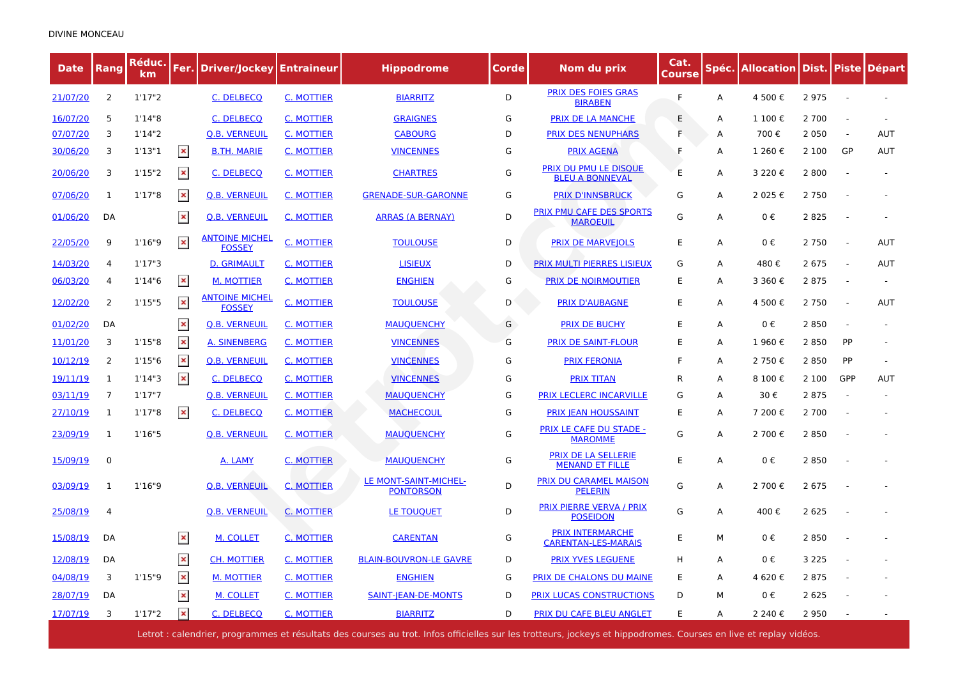| <b>Date</b> | Rang           | Réduc.<br>km | Fer.           | <b>Driver/Jockey   Entraineur</b>      |                   | Hippodrome                                | Corde | Nom du prix                                           | Cat.<br><u>Course</u> | Spéc. | <b>Allocation Dist. Piste</b> |         |                          | <b>Départ</b> |
|-------------|----------------|--------------|----------------|----------------------------------------|-------------------|-------------------------------------------|-------|-------------------------------------------------------|-----------------------|-------|-------------------------------|---------|--------------------------|---------------|
| 21/07/20    | 2              | 1'17''2      |                | C. DELBECQ                             | <b>C. MOTTIER</b> | <b>BIARRITZ</b>                           | D     | <b>PRIX DES FOIES GRAS</b><br><b>BIRABEN</b>          | F                     | Α     | 4 500€                        | 2975    |                          |               |
| 16/07/20    | 5              | 1'14"8       |                | <b>C. DELBECO</b>                      | <b>C. MOTTIER</b> | <b>GRAIGNES</b>                           | G     | <b>PRIX DE LA MANCHE</b>                              | E                     | А     | 1 100€                        | 2 700   |                          |               |
| 07/07/20    | 3              | 1'14''2      |                | <b>Q.B. VERNEUIL</b>                   | <b>C. MOTTIER</b> | <b>CABOURG</b>                            | D     | <b>PRIX DES NENUPHARS</b>                             | F.                    | Α     | 700€                          | 2 0 5 0 | $\overline{\phantom{a}}$ | <b>AUT</b>    |
| 30/06/20    | 3              | 1'13"1       | $\pmb{\times}$ | <b>B.TH. MARIE</b>                     | <u>C. MOTTIER</u> | <b>VINCENNES</b>                          | G     | <b>PRIX AGENA</b>                                     | F                     | A     | 1 260 €                       | 2 100   | GP                       | <b>AUT</b>    |
| 20/06/20    | 3              | 1'15''2      | $\pmb{\times}$ | C. DELBECQ                             | <b>C. MOTTIER</b> | <b>CHARTRES</b>                           | G     | PRIX DU PMU LE DISOUE<br><b>BLEU A BONNEVAL</b>       | E                     | Α     | 3 2 2 0 €                     | 2 8 0 0 |                          |               |
| 07/06/20    | $\mathbf{1}$   | 1'17''8      | $\pmb{\times}$ | <b>Q.B. VERNEUIL</b>                   | C. MOTTIER        | <b>GRENADE-SUR-GARONNE</b>                | G     | <b>PRIX D'INNSBRUCK</b>                               | G                     | Α     | 2 025 €                       | 2 7 5 0 |                          |               |
| 01/06/20    | DA             |              | $\pmb{\times}$ | <b>Q.B. VERNEUIL</b>                   | <b>C. MOTTIER</b> | <b>ARRAS (A BERNAY)</b>                   | D     | PRIX PMU CAFE DES SPORTS<br><b>MAROEUIL</b>           | G                     | Α     | 0€                            | 2 8 2 5 |                          |               |
| 22/05/20    | 9              | 1'16''9      | $\pmb{\times}$ | <b>ANTOINE MICHEL</b><br><b>FOSSEY</b> | C. MOTTIER        | <b>TOULOUSE</b>                           | D     | <b>PRIX DE MARVEJOLS</b>                              | E                     | A     | $0 \in$                       | 2 7 5 0 | $\sim$                   | <b>AUT</b>    |
| 14/03/20    | 4              | 1'17''3      |                | <b>D. GRIMAULT</b>                     | C. MOTTIER        | <b>LISIEUX</b>                            | D     | <b>PRIX MULTI PIERRES LISIEUX</b>                     | G                     | Α     | 480€                          | 2675    |                          | AUT           |
| 06/03/20    | 4              | 1'14"6       | $\pmb{\times}$ | M. MOTTIER                             | <u>C. MOTTIER</u> | <b>ENGHIEN</b>                            | G     | <b>PRIX DE NOIRMOUTIER</b>                            | E                     | A     | 3 360€                        | 2 8 7 5 | $\sim$                   |               |
| 12/02/20    | 2              | 1'15"5       | $\pmb{\times}$ | <b>ANTOINE MICHEL</b><br><b>FOSSEY</b> | C. MOTTIER        | <b>TOULOUSE</b>                           | D     | <b>PRIX D'AUBAGNE</b>                                 | E                     | Α     | 4 500€                        | 2 7 5 0 | $\sim$                   | AUT           |
| 01/02/20    | DA             |              | $\pmb{\times}$ | <b>Q.B. VERNEUIL</b>                   | C. MOTTIER        | <b>MAUOUENCHY</b>                         | G     | <b>PRIX DE BUCHY</b>                                  | E                     | A     | 0€                            | 2850    |                          |               |
| 11/01/20    | 3              | 1'15"8       | $\pmb{\times}$ | A. SINENBERG                           | <b>C. MOTTIER</b> | <b>VINCENNES</b>                          | G     | <b>PRIX DE SAINT-FLOUR</b>                            | E                     | Α     | 1 960€                        | 2 8 5 0 | PP                       |               |
| 10/12/19    | 2              | 1'15"6       | $\pmb{\times}$ | <b>Q.B. VERNEUIL</b>                   | <b>C. MOTTIER</b> | <b>VINCENNES</b>                          | G     | <b>PRIX FERONIA</b>                                   | F                     | A     | 2 750€                        | 2850    | PP                       |               |
| 19/11/19    | $\mathbf{1}$   | 1'14''3      | $\pmb{\times}$ | C. DELBECQ                             | <b>C. MOTTIER</b> | <b>VINCENNES</b>                          | G     | <b>PRIX TITAN</b>                                     | R                     | Α     | 8 100€                        | 2 100   | GPP                      | AUT           |
| 03/11/19    | $\overline{7}$ | 1'17''7      |                | <b>Q.B. VERNEUIL</b>                   | <b>C. MOTTIER</b> | <b>MAUQUENCHY</b>                         | G     | PRIX LECLERC INCARVILLE                               | G                     | A     | 30€                           | 2875    | $\sim$                   |               |
| 27/10/19    | 1              | 1'17"8       | $\pmb{\times}$ | C. DELBECQ                             | <b>C. MOTTIER</b> | <b>MACHECOUL</b>                          | G     | <b>PRIX JEAN HOUSSAINT</b>                            | E                     | A     | 7 200€                        | 2 700   |                          |               |
| 23/09/19    | $\mathbf{1}$   | 1'16''5      |                | <b>Q.B. VERNEUIL</b>                   | <b>C. MOTTIER</b> | <b>MAUQUENCHY</b>                         | G     | PRIX LE CAFE DU STADE -<br><b>MAROMME</b>             | G                     | A     | 2 700€                        | 2 8 5 0 |                          |               |
| 15/09/19    | 0              |              |                | A. LAMY                                | <b>C. MOTTIER</b> | <b>MAUQUENCHY</b>                         | G     | PRIX DE LA SELLERIE<br><b>MENAND ET FILLE</b>         | E                     | A     | 0€                            | 2850    |                          |               |
| 03/09/19    | $\mathbf{1}$   | 1'16"9       |                | <b>Q.B. VERNEUIL</b>                   | <b>C. MOTTIER</b> | LE MONT-SAINT-MICHEL-<br><b>PONTORSON</b> | D     | PRIX DU CARAMEL MAISON<br><b>PELERIN</b>              | G                     | Α     | 2 700€                        | 2 6 7 5 |                          |               |
| 25/08/19    | 4              |              |                | <b>Q.B. VERNEUIL</b>                   | <b>C. MOTTIER</b> | LE TOUQUET                                | D     | <b>PRIX PIERRE VERVA / PRIX</b><br><b>POSEIDON</b>    | G                     | A     | 400€                          | 2 6 2 5 |                          |               |
| 15/08/19    | DA             |              | $\pmb{\times}$ | M. COLLET                              | <b>C. MOTTIER</b> | <b>CARENTAN</b>                           | G     | <b>PRIX INTERMARCHE</b><br><b>CARENTAN-LES-MARAIS</b> | E                     | М     | 0€                            | 2 8 5 0 |                          |               |
| 12/08/19    | DA             |              | $\pmb{\times}$ | <b>CH. MOTTIER</b>                     | C. MOTTIER        | <b>BLAIN-BOUVRON-LE GAVRE</b>             | D     | PRIX YVES LEGUENE                                     | н                     | A     | 0€                            | 3 2 2 5 |                          |               |
| 04/08/19    | 3              | 1'15"9       | $\pmb{\times}$ | <b>M. MOTTIER</b>                      | <b>C. MOTTIER</b> | <b>ENGHIEN</b>                            | G     | <b>PRIX DE CHALONS DU MAINE</b>                       | E                     | Α     | 4 620€                        | 2 8 7 5 |                          |               |
| 28/07/19    | DA             |              | $\pmb{\times}$ | M. COLLET                              | C. MOTTIER        | <b>SAINT-JEAN-DE-MONTS</b>                | D     | PRIX LUCAS CONSTRUCTIONS                              | D                     | M     | 0€                            | 2 6 2 5 |                          |               |
| 17/07/19    | 3              | 1'17''2      | $\pmb{\times}$ | C. DELBECQ                             | <b>C. MOTTIER</b> | <b>BIARRITZ</b>                           | D     | <b>PRIX DU CAFE BLEU ANGLET</b>                       | Е                     | Α     | 2 240 €                       | 2 9 5 0 |                          |               |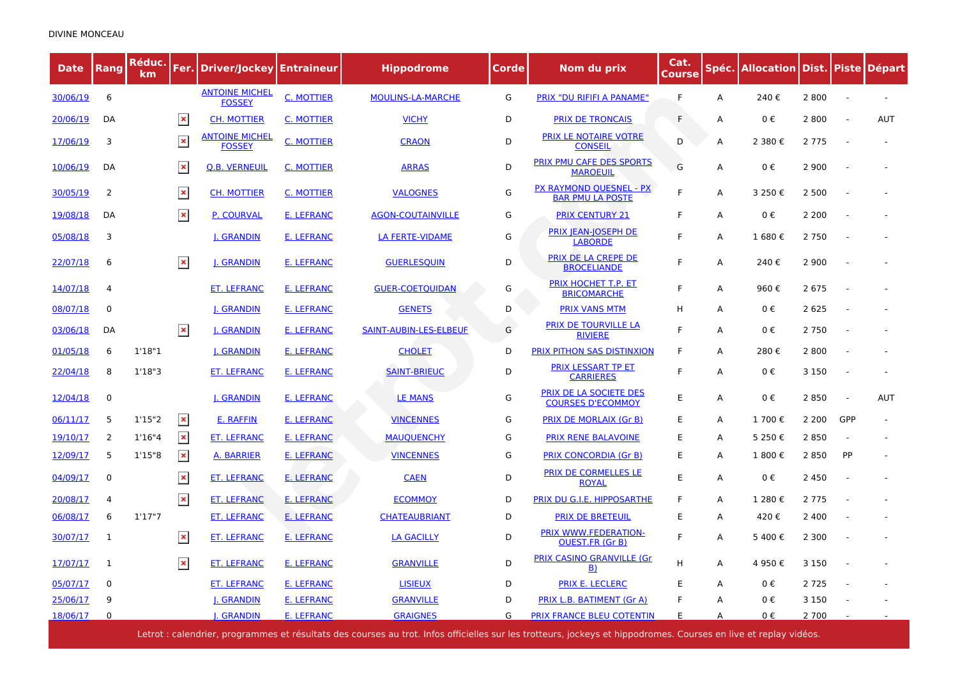| <b>Date</b> | Rang     | Réduc.<br>km |                | <b>Fer. Driver/Jockey Entraineur</b>   |                   | <b>Hippodrome</b>        | Corde | Nom du prix                                               | Cat.<br>Course | Spéc. | Allocation   Dist.   Piste   Départ |         |        |            |
|-------------|----------|--------------|----------------|----------------------------------------|-------------------|--------------------------|-------|-----------------------------------------------------------|----------------|-------|-------------------------------------|---------|--------|------------|
| 30/06/19    | 6        |              |                | <b>ANTOINE MICHEL</b><br><b>FOSSEY</b> | <b>C. MOTTIER</b> | <b>MOULINS-LA-MARCHE</b> | G     | PRIX "DU RIFIFI A PANAME"                                 | F              | А     | 240€                                | 2 8 0 0 |        |            |
| 20/06/19    | DA       |              | $\pmb{\times}$ | <b>CH. MOTTIER</b>                     | C. MOTTIER        | <b>VICHY</b>             | D     | <b>PRIX DE TRONCAIS</b>                                   | F              | A     | $0 \in$                             | 2 8 0 0 |        | <b>AUT</b> |
| 17/06/19    | 3        |              | $\pmb{\times}$ | <b>ANTOINE MICHEL</b><br><b>FOSSEY</b> | C. MOTTIER        | <b>CRAON</b>             | D     | PRIX LE NOTAIRE VOTRE<br><b>CONSEIL</b>                   | D              | A     | 2 380 €                             | 2 7 7 5 |        |            |
| 10/06/19    | DA       |              | $\pmb{\times}$ | <b>Q.B. VERNEUIL</b>                   | C. MOTTIER        | <b>ARRAS</b>             | D     | PRIX PMU CAFE DES SPORTS<br><b>MAROEUIL</b>               | G              | А     | 0€                                  | 2 9 0 0 |        |            |
| 30/05/19    | 2        |              | $\pmb{\times}$ | <b>CH. MOTTIER</b>                     | <b>C. MOTTIER</b> | <b>VALOGNES</b>          | G     | <b>PX RAYMOND QUESNEL - PX</b><br><b>BAR PMU LA POSTE</b> | F              | Α     | 3 250€                              | 2 500   |        |            |
| 19/08/18    | DA       |              | $\pmb{\times}$ | P. COURVAL                             | E. LEFRANC        | <b>AGON-COUTAINVILLE</b> | G     | <b>PRIX CENTURY 21</b>                                    | F              | А     | $0 \in$                             | 2 2 0 0 |        |            |
| 05/08/18    | 3        |              |                | <b>J. GRANDIN</b>                      | <b>E. LEFRANC</b> | <b>LA FERTE-VIDAME</b>   | G     | <b>PRIX JEAN-JOSEPH DE</b><br><b>LABORDE</b>              | E              | А     | 1 680€                              | 2 7 5 0 |        |            |
| 22/07/18    | 6        |              | $\pmb{\times}$ | <b>I. GRANDIN</b>                      | <b>E. LEFRANC</b> | <b>GUERLESQUIN</b>       | D     | PRIX DE LA CREPE DE<br><b>BROCELIANDE</b>                 | F              | А     | 240€                                | 2 9 0 0 |        |            |
| 14/07/18    | 4        |              |                | <b>ET. LEFRANC</b>                     | <b>E. LEFRANC</b> | <b>GUER-COETOUIDAN</b>   | G     | PRIX HOCHET T.P. ET<br><b>BRICOMARCHE</b>                 | F              | А     | 960€                                | 2 6 7 5 |        |            |
| 08/07/18    | 0        |              |                | <b>J. GRANDIN</b>                      | <b>E. LEFRANC</b> | <b>GENETS</b>            | D     | <b>PRIX VANS MTM</b>                                      | н              | A     | $0 \in$                             | 2 6 2 5 |        |            |
| 03/06/18    | DA       |              | $\pmb{\times}$ | <b>I. GRANDIN</b>                      | <b>E. LEFRANC</b> | SAINT-AUBIN-LES-ELBEUF   | G     | <b>PRIX DE TOURVILLE LA</b><br><b>RIVIERE</b>             | F              | A     | $0 \in$                             | 2 7 5 0 |        |            |
| 01/05/18    | 6        | 1'18"1       |                | <b>J. GRANDIN</b>                      | <b>E. LEFRANC</b> | <b>CHOLET</b>            | D     | PRIX PITHON SAS DISTINXION                                | F              | A     | 280€                                | 2800    |        |            |
| 22/04/18    | 8        | 1'18''3      |                | <b>ET. LEFRANC</b>                     | <b>E. LEFRANC</b> | <b>SAINT-BRIEUC</b>      | D     | PRIX LESSART TP ET<br><b>CARRIERES</b>                    | F              | А     | 0€                                  | 3 1 5 0 | $\sim$ |            |
| 12/04/18    | 0        |              |                | <b>I. GRANDIN</b>                      | E. LEFRANC        | LE MANS                  | G     | PRIX DE LA SOCIETE DES<br><b>COURSES D'ECOMMOY</b>        | E              | A     | 0€                                  | 2850    | $\sim$ | <b>AUT</b> |
| 06/11/17    | 5        | 1'15''2      | $\pmb{\times}$ | <b>E. RAFFIN</b>                       | <b>E. LEFRANC</b> | <b>VINCENNES</b>         | G     | <b>PRIX DE MORLAIX (Gr B)</b>                             | E              | А     | 1 700€                              | 2 2 0 0 | GPP    |            |
| 19/10/17    | 2        | 1'16''4      | $\pmb{\times}$ | <b>ET. LEFRANC</b>                     | <b>E. LEFRANC</b> | <b>MAUQUENCHY</b>        | G     | <b>PRIX RENE BALAVOINE</b>                                | E              | А     | 5 250€                              | 2 8 5 0 |        |            |
| 12/09/17    | 5        | 1'15''8      | $\pmb{\times}$ | A. BARRIER                             | E. LEFRANC        | <b>VINCENNES</b>         | G     | <b>PRIX CONCORDIA (Gr B)</b>                              | E              | А     | 1 800€                              | 2 8 5 0 | PP     |            |
| 04/09/17    | 0        |              | $\pmb{\times}$ | <b>ET. LEFRANC</b>                     | <b>E. LEFRANC</b> | <b>CAEN</b>              | D     | <b>PRIX DE CORMELLES LE</b><br><b>ROYAL</b>               | E              | А     | 0€                                  | 2 4 5 0 |        |            |
| 20/08/17    | 4        |              | $\pmb{\times}$ | <b>ET. LEFRANC</b>                     | <b>E. LEFRANC</b> | <b>ECOMMOY</b>           | D     | <b>PRIX DU G.I.E. HIPPOSARTHE</b>                         | F              | A     | 1 280 €                             | 2 7 7 5 |        |            |
| 06/08/17    | 6        | 1'17''7      |                | <b>ET. LEFRANC</b>                     | <b>E. LEFRANC</b> | <b>CHATEAUBRIANT</b>     | D     | <b>PRIX DE BRETEUIL</b>                                   | E              | А     | 420€                                | 2 4 0 0 |        |            |
| 30/07/17    | 1        |              | $\pmb{\times}$ | <b>ET. LEFRANC</b>                     | <b>E. LEFRANC</b> | <b>LA GACILLY</b>        | D     | PRIX WWW.FEDERATION-<br><b>OUEST.FR (Gr B)</b>            | F              | A     | 5400€                               | 2 3 0 0 |        |            |
| 17/07/17    | 1        |              | $\pmb{\times}$ | <b>ET. LEFRANC</b>                     | <b>E. LEFRANC</b> | <b>GRANVILLE</b>         | D     | <b>PRIX CASINO GRANVILLE (Gr.</b><br>$\vert B \rangle$    | Н              | А     | 4 950€                              | 3 1 5 0 |        |            |
| 05/07/17    | 0        |              |                | <b>ET. LEFRANC</b>                     | <b>E. LEFRANC</b> | <b>LISIEUX</b>           | D     | PRIX E. LECLERC                                           | E              | А     | $0 \in$                             | 2 7 2 5 |        |            |
| 25/06/17    | q        |              |                | <b>. GRANDIN</b>                       | <b>E. LEFRANC</b> | <b>GRANVILLE</b>         | D     | PRIX L.B. BATIMENT (Gr A)                                 | F              | А     | 0€                                  | 3 1 5 0 |        |            |
| 18/06/17    | $\Omega$ |              |                | <b>. GRANDIN</b>                       | <b>E. LEFRANC</b> | <b>GRAIGNES</b>          | G     | PRIX FRANCE BLEU COTENTIN                                 | E              | A     | 0€                                  | 2 700   |        |            |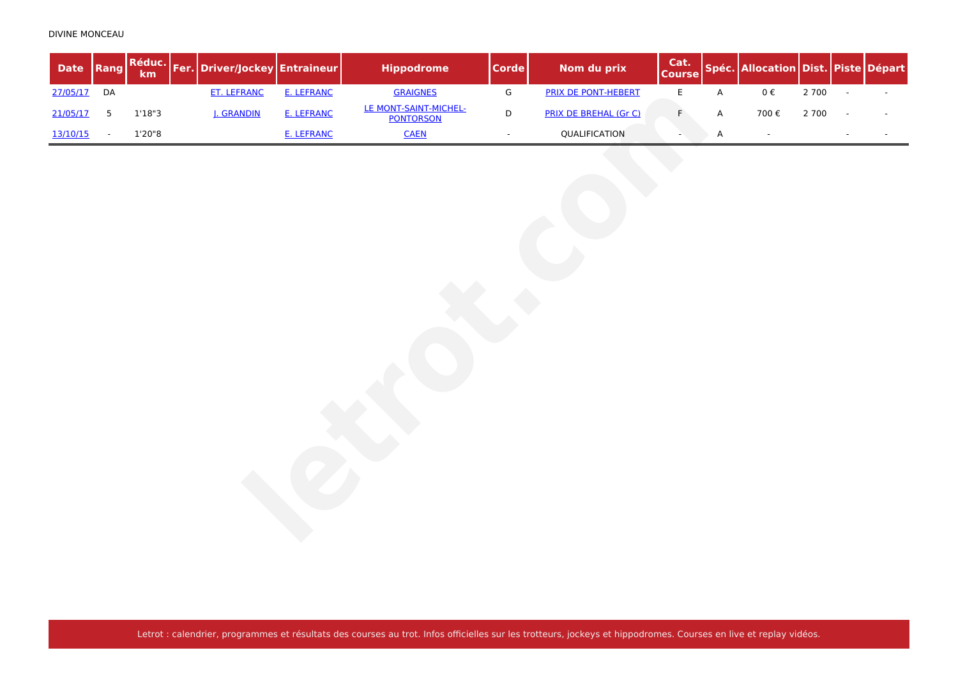| <b>Date</b> | Rang                     | Réduc.<br>km | Fer. Driver/Jockey Entraineur |            | <b>Hippodrome</b>                         | <b>Corde</b>  | Nom du prix                  | Cat.<br><b>Course</b> |             | Spéc. Allocation Dist. Piste Départ |       |                          |  |
|-------------|--------------------------|--------------|-------------------------------|------------|-------------------------------------------|---------------|------------------------------|-----------------------|-------------|-------------------------------------|-------|--------------------------|--|
| 27/05/17    | DA                       |              | <b>ET. LEFRANC</b>            | E. LEFRANC | <b>GRAIGNES</b>                           | ${\mathsf G}$ | PRIX DE PONT-HEBERT          | $\mathsf E$           | $\mathsf A$ | $0\;\mathbb{E}$                     | 2 700 | $\overline{\phantom{a}}$ |  |
| 21/05/17    | $5\phantom{.0}$          | 1'18''3      | J. GRANDIN                    | E. LEFRANC | LE MONT-SAINT-MICHEL-<br><b>PONTORSON</b> | D             | <b>PRIX DE BREHAL (Gr C)</b> | $\mathsf F$           | A           | 700€                                | 2 700 |                          |  |
| 13/10/15    | $\overline{\phantom{a}}$ | 1'20''8      |                               | E. LEFRANC | <b>CAEN</b>                               | $\sim$        | QUALIFICATION                | $\blacksquare$        | A           | $\sim$                              |       |                          |  |
|             |                          |              |                               |            |                                           |               |                              |                       |             |                                     |       |                          |  |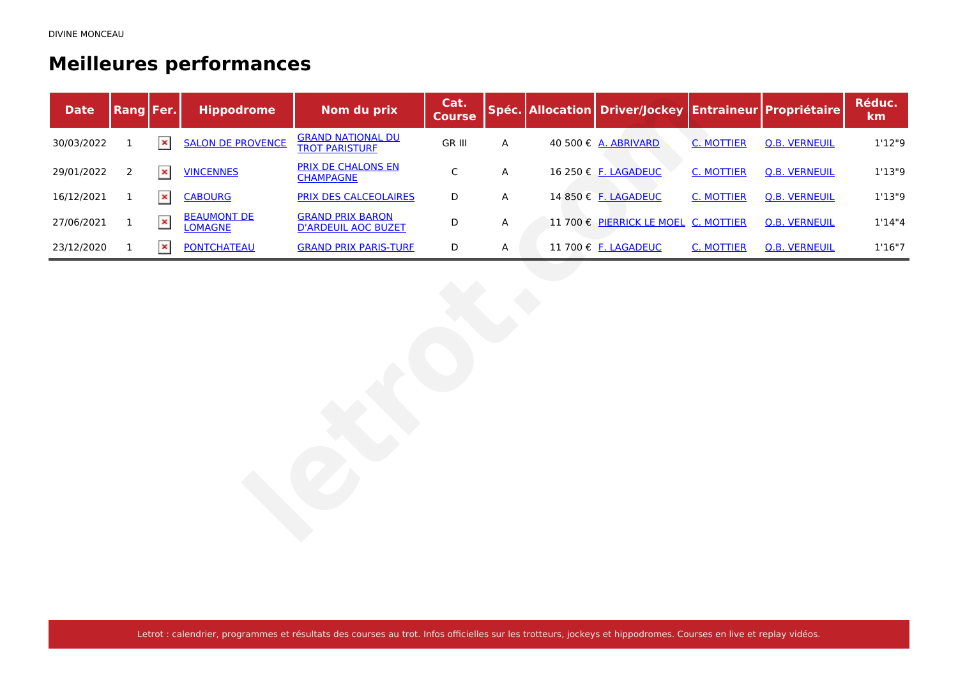## **Meilleures performances**

| <b>Date</b> | Rang Fer.      |                | <b>Hippodrome</b>                    | Nom du prix                                           | Cat.<br><b>Course</b> |   | Spéc. Allocation Driver/Jockey Entraineur Propriétaire |                   |                      | Réduc.<br>km |
|-------------|----------------|----------------|--------------------------------------|-------------------------------------------------------|-----------------------|---|--------------------------------------------------------|-------------------|----------------------|--------------|
| 30/03/2022  | $\mathbf 1$    | ×              | <b>SALON DE PROVENCE</b>             | <b>GRAND NATIONAL DU</b><br><b>TROT PARISTURE</b>     | <b>GR III</b>         | A | 40 500 € A. ABRIVARD                                   | <b>C. MOTTIER</b> | <b>Q.B. VERNEUIL</b> | 1'12"9       |
| 29/01/2022  | $\overline{2}$ | $\pmb{\times}$ | <b>VINCENNES</b>                     | <b>PRIX DE CHALONS EN</b><br><b>CHAMPAGNE</b>         | $\mathsf C$           | A | 16 250 € F. LAGADEUC                                   | <b>C. MOTTIER</b> | <b>Q.B. VERNEUIL</b> | 1'13''9      |
| 16/12/2021  | $\mathbf{1}$   | $\pmb{\times}$ | <b>CABOURG</b>                       | <b>PRIX DES CALCEOLAIRES</b>                          | $\mathsf D$           | A | 14 850 € F. LAGADEUC                                   | <b>C. MOTTIER</b> | <b>Q.B. VERNEUIL</b> | 1'13''9      |
| 27/06/2021  | $\mathbf{1}$   | $\pmb{\times}$ | <b>BEAUMONT DE</b><br><b>LOMAGNE</b> | <b>GRAND PRIX BARON</b><br><b>D'ARDEUIL AOC BUZET</b> | D                     | A | 11 700 € PIERRICK LE MOEL C. MOTTIER                   |                   | <b>Q.B. VERNEUIL</b> | 1'14''4      |
| 23/12/2020  | $\mathbf{1}$   | $\pmb{\times}$ | <b>PONTCHATEAU</b>                   | <b>GRAND PRIX PARIS-TURE</b>                          | $\mathsf D$           | A | 11 700 € F. LAGADEUC                                   | <b>C. MOTTIER</b> | <b>Q.B. VERNEUIL</b> | 1'16''7      |
|             |                |                |                                      |                                                       |                       |   |                                                        |                   |                      |              |